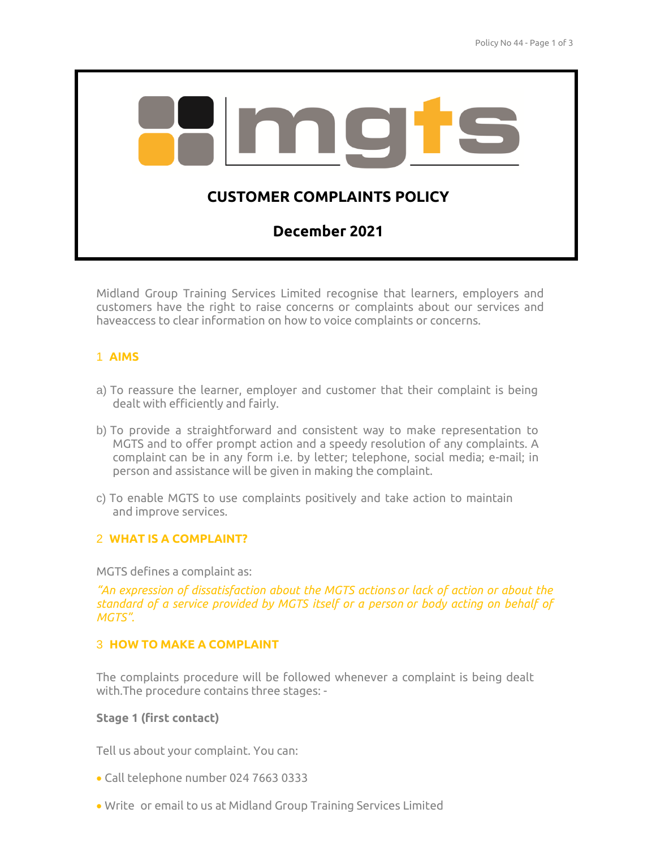

Midland Group Training Services Limited recognise that learners, employers and customers have the right to raise concerns or complaints about our services and haveaccess to clear information on how to voice complaints or concerns.

# 1 **AIMS**

- a) To reassure the learner, employer and customer that their complaint is being dealt with efficiently and fairly.
- b) To provide a straightforward and consistent way to make representation to MGTS and to offer prompt action and a speedy resolution of any complaints. A complaint can be in any form i.e. by letter; telephone, social media; e-mail; in person and assistance will be given in making the complaint.
- c) To enable MGTS to use complaints positively and take action to maintain and improve services.

# 2 **WHAT IS A COMPLAINT?**

MGTS defines a complaint as:

*"An expression of dissatisfaction about the MGTS actions or lack of action or about the standard of a service provided by MGTS itself or a person or body acting on behalf of MGTS".*

# 3 **HOW TO MAKE A COMPLAINT**

The complaints procedure will be followed whenever a complaint is being dealt with.The procedure contains three stages: -

# **Stage 1 (first contact)**

Tell us about your complaint. You can:

- Call telephone number 024 7663 0333
- Write or email to us at Midland Group Training Services Limited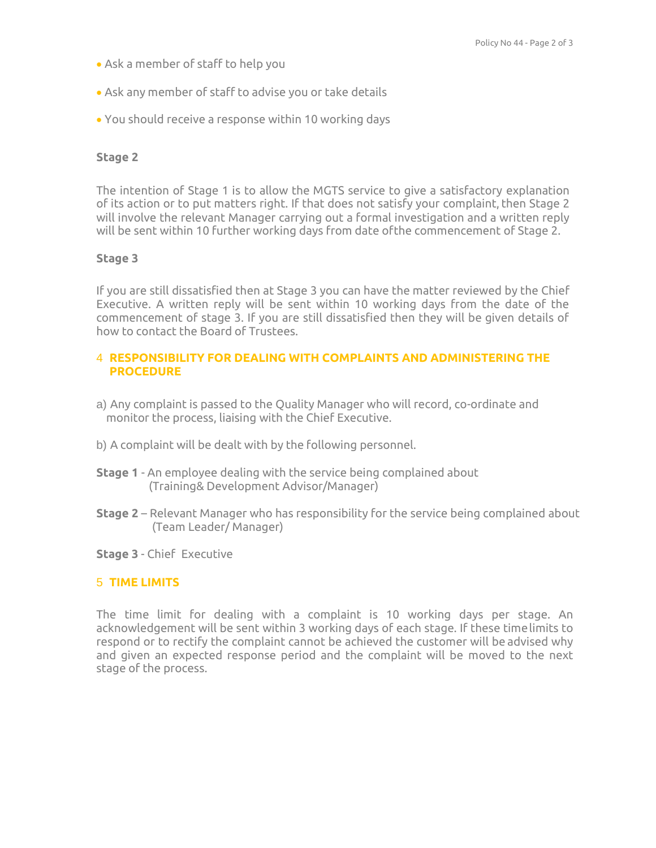- Ask a member of staff to help you
- Ask any member of staff to advise you or take details
- You should receive a response within 10 working days

### **Stage 2**

The intention of Stage 1 is to allow the MGTS service to give a satisfactory explanation of its action or to put matters right. If that does not satisfy your complaint, then Stage 2 will involve the relevant Manager carrying out a formal investigation and a written reply will be sent within 10 further working days from date ofthe commencement of Stage 2.

### **Stage 3**

If you are still dissatisfied then at Stage 3 you can have the matter reviewed by the Chief Executive. A written reply will be sent within 10 working days from the date of the commencement of stage 3. If you are still dissatisfied then they will be given details of how to contact the Board of Trustees.

### 4 **RESPONSIBILITY FOR DEALING WITH COMPLAINTS AND ADMINISTERING THE PROCEDURE**

- a) Any complaint is passed to the Quality Manager who will record, co-ordinate and monitor the process, liaising with the Chief Executive.
- b) A complaint will be dealt with by the following personnel.
- **Stage 1**  An employee dealing with the service being complained about (Training& Development Advisor/Manager)
- **Stage 2**  Relevant Manager who has responsibility for the service being complained about (Team Leader/ Manager)
- **Stage 3** Chief Executive

#### 5 **TIME LIMITS**

The time limit for dealing with a complaint is 10 working days per stage. An acknowledgement will be sent within 3 working days of each stage. If these timelimits to respond or to rectify the complaint cannot be achieved the customer will be advised why and given an expected response period and the complaint will be moved to the next stage of the process.